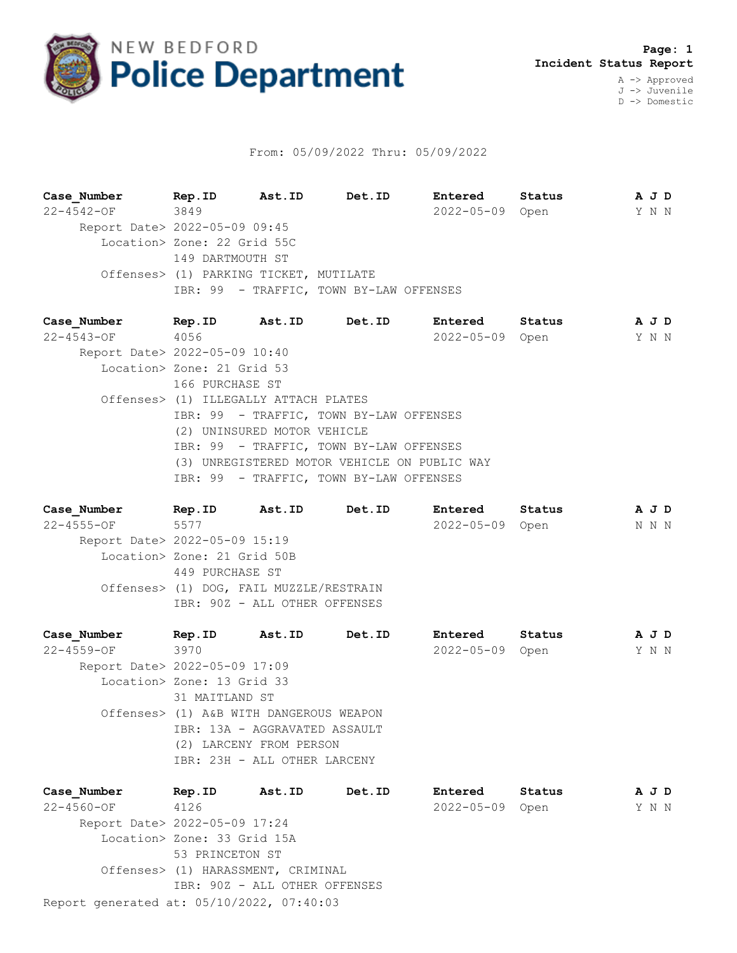

## From: 05/09/2022 Thru: 05/09/2022

**Case\_Number Rep.ID Ast.ID Det.ID Entered Status A J D** 22-4542-OF 3849 2022-05-09 Open Y N N Report Date> 2022-05-09 09:45 Location> Zone: 22 Grid 55C 149 DARTMOUTH ST Offenses> (1) PARKING TICKET, MUTILATE IBR: 99 - TRAFFIC, TOWN BY-LAW OFFENSES

**Case\_Number Rep.ID Ast.ID Det.ID Entered Status A J D** 22-4543-OF 4056 2022-05-09 Open Y N N Report Date> 2022-05-09 10:40 Location> Zone: 21 Grid 53 166 PURCHASE ST Offenses> (1) ILLEGALLY ATTACH PLATES IBR: 99 - TRAFFIC, TOWN BY-LAW OFFENSES (2) UNINSURED MOTOR VEHICLE IBR: 99 - TRAFFIC, TOWN BY-LAW OFFENSES (3) UNREGISTERED MOTOR VEHICLE ON PUBLIC WAY IBR: 99 - TRAFFIC, TOWN BY-LAW OFFENSES

**Case\_Number Rep.ID Ast.ID Det.ID Entered Status A J D** 22-4555-OF 5577 2022-05-09 Open N N N Report Date> 2022-05-09 15:19 Location> Zone: 21 Grid 50B 449 PURCHASE ST Offenses> (1) DOG, FAIL MUZZLE/RESTRAIN IBR: 90Z - ALL OTHER OFFENSES

| Case Number                   | Rep.ID                        | Ast.ID                                  | Det.ID | Entered          | Status |  | A J D |  |
|-------------------------------|-------------------------------|-----------------------------------------|--------|------------------|--------|--|-------|--|
| 22-4559-OF                    | 3970                          |                                         |        | $2022 - 05 - 09$ | Open   |  | Y N N |  |
| Report Date> 2022-05-09 17:09 |                               |                                         |        |                  |        |  |       |  |
| Location> Zone: 13 Grid 33    |                               |                                         |        |                  |        |  |       |  |
|                               | 31 MAITLAND ST                |                                         |        |                  |        |  |       |  |
|                               |                               | Offenses> (1) A&B WITH DANGEROUS WEAPON |        |                  |        |  |       |  |
|                               | IBR: 13A - AGGRAVATED ASSAULT |                                         |        |                  |        |  |       |  |
|                               | (2) LARCENY FROM PERSON       |                                         |        |                  |        |  |       |  |
|                               |                               | IBR: 23H - ALL OTHER LARCENY            |        |                  |        |  |       |  |
|                               |                               |                                         |        |                  |        |  |       |  |
|                               |                               |                                         |        |                  |        |  |       |  |

Report generated at: 05/10/2022, 07:40:03 **Case\_Number Rep.ID Ast.ID Det.ID Entered Status A J D** 22-4560-OF 4126 2022-05-09 Open Y N N Report Date> 2022-05-09 17:24 Location> Zone: 33 Grid 15A 53 PRINCETON ST Offenses> (1) HARASSMENT, CRIMINAL IBR: 90Z - ALL OTHER OFFENSES